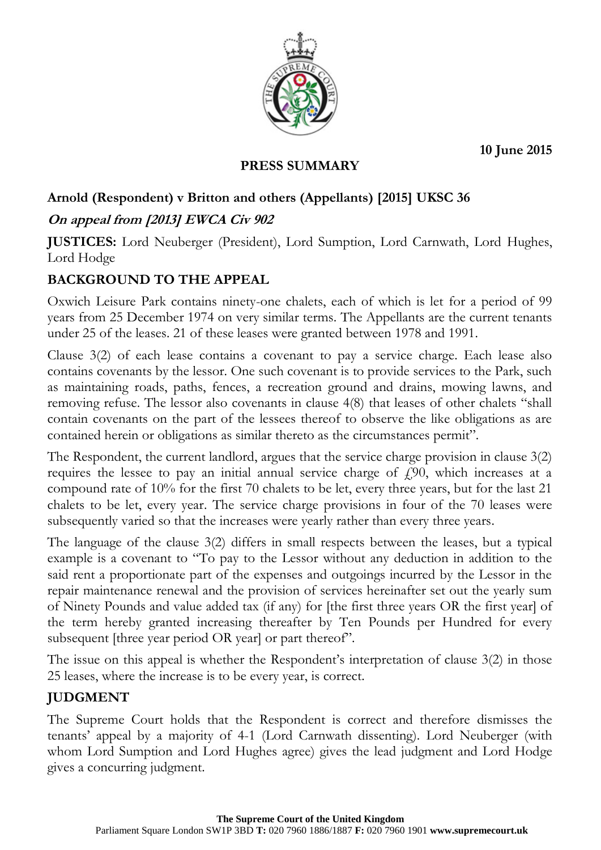**10 June 2015**



### **PRESS SUMMARY**

## **Arnold (Respondent) v Britton and others (Appellants) [2015] UKSC 36**

## **On appeal from [2013] EWCA Civ 902**

**JUSTICES:** Lord Neuberger (President), Lord Sumption, Lord Carnwath, Lord Hughes, Lord Hodge

# **BACKGROUND TO THE APPEAL**

Oxwich Leisure Park contains ninety-one chalets, each of which is let for a period of 99 years from 25 December 1974 on very similar terms. The Appellants are the current tenants under 25 of the leases. 21 of these leases were granted between 1978 and 1991.

Clause 3(2) of each lease contains a covenant to pay a service charge. Each lease also contains covenants by the lessor. One such covenant is to provide services to the Park, such as maintaining roads, paths, fences, a recreation ground and drains, mowing lawns, and removing refuse. The lessor also covenants in clause 4(8) that leases of other chalets "shall contain covenants on the part of the lessees thereof to observe the like obligations as are contained herein or obligations as similar thereto as the circumstances permit".

The Respondent, the current landlord, argues that the service charge provision in clause 3(2) requires the lessee to pay an initial annual service charge of  $f(90)$ , which increases at a compound rate of 10% for the first 70 chalets to be let, every three years, but for the last 21 chalets to be let, every year. The service charge provisions in four of the 70 leases were subsequently varied so that the increases were yearly rather than every three years.

The language of the clause 3(2) differs in small respects between the leases, but a typical example is a covenant to "To pay to the Lessor without any deduction in addition to the said rent a proportionate part of the expenses and outgoings incurred by the Lessor in the repair maintenance renewal and the provision of services hereinafter set out the yearly sum of Ninety Pounds and value added tax (if any) for [the first three years OR the first year] of the term hereby granted increasing thereafter by Ten Pounds per Hundred for every subsequent [three year period OR year] or part thereof".

The issue on this appeal is whether the Respondent's interpretation of clause 3(2) in those 25 leases, where the increase is to be every year, is correct.

## **JUDGMENT**

The Supreme Court holds that the Respondent is correct and therefore dismisses the tenants' appeal by a majority of 4-1 (Lord Carnwath dissenting). Lord Neuberger (with whom Lord Sumption and Lord Hughes agree) gives the lead judgment and Lord Hodge gives a concurring judgment.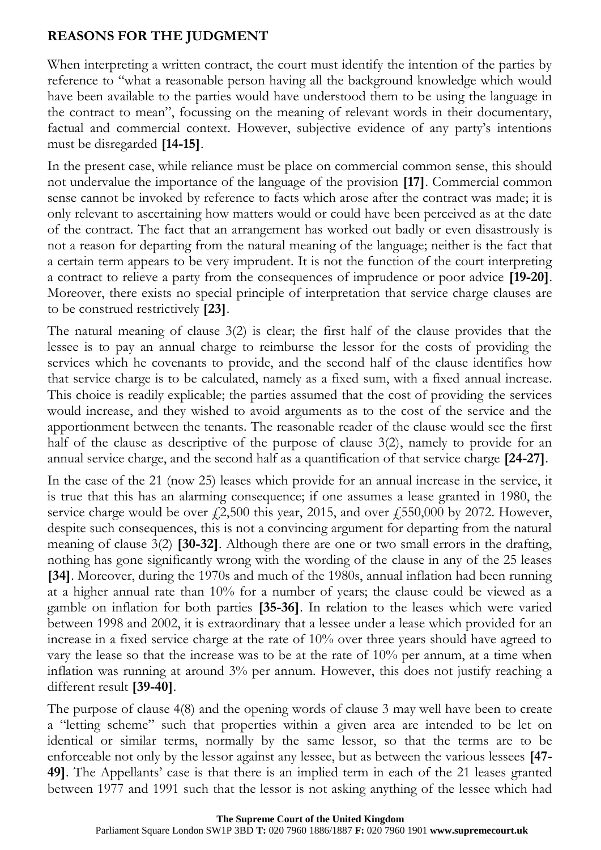### **REASONS FOR THE JUDGMENT**

When interpreting a written contract, the court must identify the intention of the parties by reference to "what a reasonable person having all the background knowledge which would have been available to the parties would have understood them to be using the language in the contract to mean", focussing on the meaning of relevant words in their documentary, factual and commercial context. However, subjective evidence of any party's intentions must be disregarded **[14-15]**.

In the present case, while reliance must be place on commercial common sense, this should not undervalue the importance of the language of the provision **[17]**. Commercial common sense cannot be invoked by reference to facts which arose after the contract was made; it is only relevant to ascertaining how matters would or could have been perceived as at the date of the contract. The fact that an arrangement has worked out badly or even disastrously is not a reason for departing from the natural meaning of the language; neither is the fact that a certain term appears to be very imprudent. It is not the function of the court interpreting a contract to relieve a party from the consequences of imprudence or poor advice **[19-20]**. Moreover, there exists no special principle of interpretation that service charge clauses are to be construed restrictively **[23]**.

The natural meaning of clause 3(2) is clear; the first half of the clause provides that the lessee is to pay an annual charge to reimburse the lessor for the costs of providing the services which he covenants to provide, and the second half of the clause identifies how that service charge is to be calculated, namely as a fixed sum, with a fixed annual increase. This choice is readily explicable; the parties assumed that the cost of providing the services would increase, and they wished to avoid arguments as to the cost of the service and the apportionment between the tenants. The reasonable reader of the clause would see the first half of the clause as descriptive of the purpose of clause 3(2), namely to provide for an annual service charge, and the second half as a quantification of that service charge **[24-27]**.

In the case of the 21 (now 25) leases which provide for an annual increase in the service, it is true that this has an alarming consequence; if one assumes a lease granted in 1980, the service charge would be over  $\dot{\ell}$ , 2,500 this year, 2015, and over  $\dot{\ell}$ , 550,000 by 2072. However, despite such consequences, this is not a convincing argument for departing from the natural meaning of clause 3(2) **[30-32]**. Although there are one or two small errors in the drafting, nothing has gone significantly wrong with the wording of the clause in any of the 25 leases **[34]**. Moreover, during the 1970s and much of the 1980s, annual inflation had been running at a higher annual rate than 10% for a number of years; the clause could be viewed as a gamble on inflation for both parties **[35-36]**. In relation to the leases which were varied between 1998 and 2002, it is extraordinary that a lessee under a lease which provided for an increase in a fixed service charge at the rate of 10% over three years should have agreed to vary the lease so that the increase was to be at the rate of 10% per annum, at a time when inflation was running at around 3% per annum. However, this does not justify reaching a different result **[39-40]**.

The purpose of clause 4(8) and the opening words of clause 3 may well have been to create a "letting scheme" such that properties within a given area are intended to be let on identical or similar terms, normally by the same lessor, so that the terms are to be enforceable not only by the lessor against any lessee, but as between the various lessees **[47- 49]**. The Appellants' case is that there is an implied term in each of the 21 leases granted between 1977 and 1991 such that the lessor is not asking anything of the lessee which had